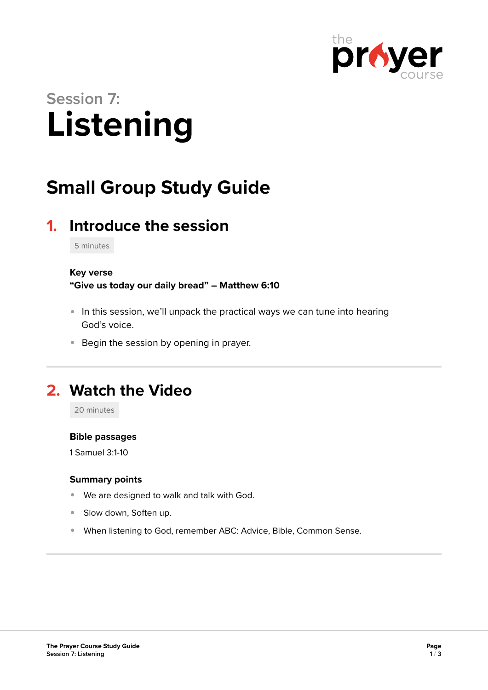

# **Session 7: Listening**

# **Small Group Study Guide**

## **1. Introduce the session**

5 minutes

### **Key verse**

**"Give us today our daily bread" – Matthew 6:10** 

- In this session, we'll unpack the practical ways we can tune into hearing God's voice.
- **Begin the session by opening in prayer.**

### **2. Watch the Video**

20 minutes

### **Bible passages**

1 Samuel 3:1-10

### **Summary points**

- We are designed to walk and talk with God.
- Slow down, Soften up.
- When listening to God, remember ABC: Advice, Bible, Common Sense.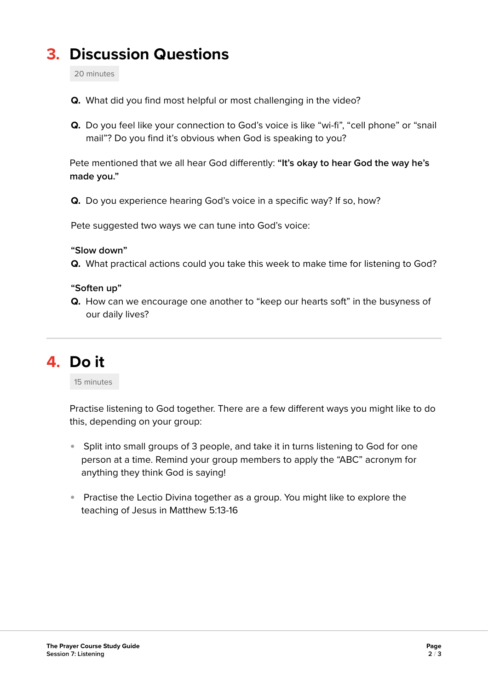# **3. Discussion Questions**

20 minutes

- **Q.** What did you find most helpful or most challenging in the video?
- **Q.** Do you feel like your connection to God's voice is like "wi-fi", "cell phone" or "snail mail"? Do you find it's obvious when God is speaking to you?

Pete mentioned that we all hear God differently: **"It's okay to hear God the way he's made you."** 

**Q.** Do you experience hearing God's voice in a specific way? If so, how?

Pete suggested two ways we can tune into God's voice:

### **"Slow down"**

**Q.** What practical actions could you take this week to make time for listening to God?

### **"Soften up"**

**Q.** How can we encourage one another to "keep our hearts soft" in the busyness of our daily lives?

### **4. Do it**

15 minutes

Practise listening to God together. There are a few different ways you might like to do this, depending on your group:

- Split into small groups of 3 people, and take it in turns listening to God for one person at a time. Remind your group members to apply the "ABC" acronym for anything they think God is saying!
- Practise the Lectio Divina together as a group. You might like to explore the teaching of Jesus in Matthew 5:13-16